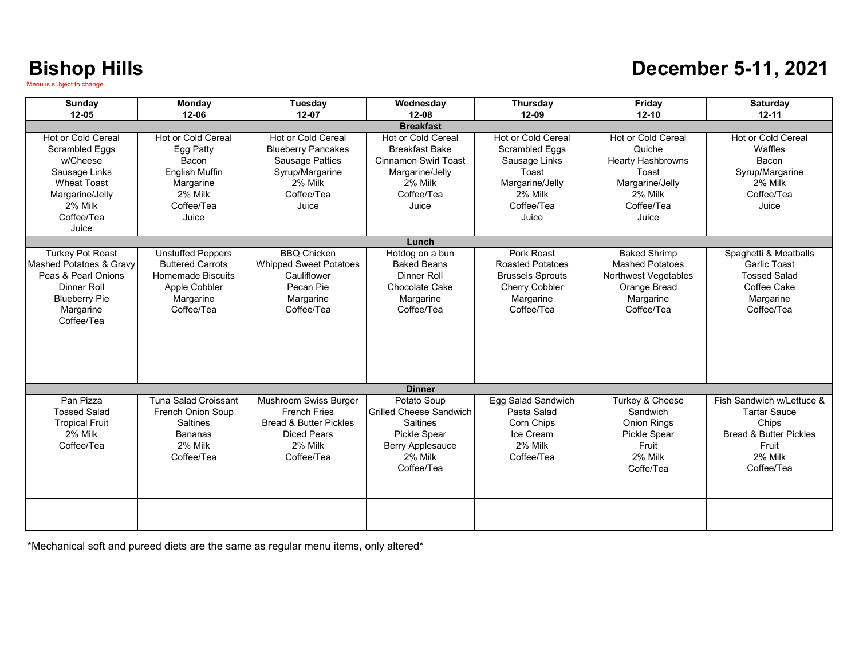### **December 5-11, 2021**

| <b>Sunday</b>                                                                                                                                      | Monday<br>$12 - 06$                                                                                                     | Tuesday                                                                                                                          | Wednesday<br>$12 - 08$                                                                                                                 | <b>Thursday</b>                                                                                                            | Friday                                                                                                                        | Saturday<br>$12 - 11$                                                                                         |  |
|----------------------------------------------------------------------------------------------------------------------------------------------------|-------------------------------------------------------------------------------------------------------------------------|----------------------------------------------------------------------------------------------------------------------------------|----------------------------------------------------------------------------------------------------------------------------------------|----------------------------------------------------------------------------------------------------------------------------|-------------------------------------------------------------------------------------------------------------------------------|---------------------------------------------------------------------------------------------------------------|--|
| $12 - 10$<br>$12 - 05$<br>$12 - 07$<br>12-09<br><b>Breakfast</b>                                                                                   |                                                                                                                         |                                                                                                                                  |                                                                                                                                        |                                                                                                                            |                                                                                                                               |                                                                                                               |  |
| Hot or Cold Cereal<br>Scrambled Eggs<br>w/Cheese<br>Sausage Links<br><b>Wheat Toast</b><br>Margarine/Jelly<br>2% Milk<br>Coffee/Tea<br>Juice       | <b>Hot or Cold Cereal</b><br>Egg Patty<br>Bacon<br><b>English Muffin</b><br>Margarine<br>2% Milk<br>Coffee/Tea<br>Juice | Hot or Cold Cereal<br><b>Blueberry Pancakes</b><br><b>Sausage Patties</b><br>Syrup/Margarine<br>2% Milk<br>Coffee/Tea<br>Juice   | <b>Hot or Cold Cereal</b><br><b>Breakfast Bake</b><br><b>Cinnamon Swirl Toast</b><br>Margarine/Jelly<br>2% Milk<br>Coffee/Tea<br>Juice | <b>Hot or Cold Cereal</b><br>Scrambled Eggs<br>Sausage Links<br>Toast<br>Margarine/Jelly<br>2% Milk<br>Coffee/Tea<br>Juice | <b>Hot or Cold Cereal</b><br>Quiche<br><b>Hearty Hashbrowns</b><br>Toast<br>Margarine/Jelly<br>2% Milk<br>Coffee/Tea<br>Juice | Hot or Cold Cereal<br>Waffles<br>Bacon<br>Syrup/Margarine<br>2% Milk<br>Coffee/Tea<br>Juice                   |  |
|                                                                                                                                                    |                                                                                                                         |                                                                                                                                  | Lunch                                                                                                                                  |                                                                                                                            |                                                                                                                               |                                                                                                               |  |
| <b>Turkey Pot Roast</b><br>Mashed Potatoes & Gravy<br>Peas & Pearl Onions<br><b>Dinner Roll</b><br><b>Blueberry Pie</b><br>Margarine<br>Coffee/Tea | <b>Unstuffed Peppers</b><br><b>Buttered Carrots</b><br>Homemade Biscuits<br>Apple Cobbler<br>Margarine<br>Coffee/Tea    | <b>BBQ Chicken</b><br><b>Whipped Sweet Potatoes</b><br>Cauliflower<br>Pecan Pie<br>Margarine<br>Coffee/Tea                       | Hotdog on a bun<br><b>Baked Beans</b><br>Dinner Roll<br>Chocolate Cake<br>Margarine<br>Coffee/Tea                                      | Pork Roast<br><b>Roasted Potatoes</b><br><b>Brussels Sprouts</b><br><b>Cherry Cobbler</b><br>Margarine<br>Coffee/Tea       | <b>Baked Shrimp</b><br><b>Mashed Potatoes</b><br>Northwest Vegetables<br>Orange Bread<br>Margarine<br>Coffee/Tea              | Spaghetti & Meatballs<br><b>Garlic Toast</b><br><b>Tossed Salad</b><br>Coffee Cake<br>Margarine<br>Coffee/Tea |  |
|                                                                                                                                                    |                                                                                                                         |                                                                                                                                  |                                                                                                                                        |                                                                                                                            |                                                                                                                               |                                                                                                               |  |
| Pan Pizza                                                                                                                                          |                                                                                                                         |                                                                                                                                  | <b>Dinner</b>                                                                                                                          |                                                                                                                            |                                                                                                                               | Fish Sandwich w/Lettuce &                                                                                     |  |
| <b>Tossed Salad</b><br><b>Tropical Fruit</b><br>2% Milk<br>Coffee/Tea                                                                              | Tuna Salad Croissant<br>French Onion Soup<br><b>Saltines</b><br><b>Bananas</b><br>2% Milk<br>Coffee/Tea                 | Mushroom Swiss Burger<br><b>French Fries</b><br><b>Bread &amp; Butter Pickles</b><br><b>Diced Pears</b><br>2% Milk<br>Coffee/Tea | Potato Soup<br><b>Grilled Cheese Sandwich</b><br><b>Saltines</b><br>Pickle Spear<br><b>Berry Applesauce</b><br>2% Milk<br>Coffee/Tea   | Egg Salad Sandwich<br>Pasta Salad<br>Corn Chips<br>Ice Cream<br>2% Milk<br>Coffee/Tea                                      | Turkey & Cheese<br>Sandwich<br><b>Onion Rings</b><br>Pickle Spear<br>Fruit<br>2% Milk<br>Coffe/Tea                            | <b>Tartar Sauce</b><br>Chips<br><b>Bread &amp; Butter Pickles</b><br>Fruit<br>2% Milk<br>Coffee/Tea           |  |
|                                                                                                                                                    |                                                                                                                         |                                                                                                                                  |                                                                                                                                        |                                                                                                                            |                                                                                                                               |                                                                                                               |  |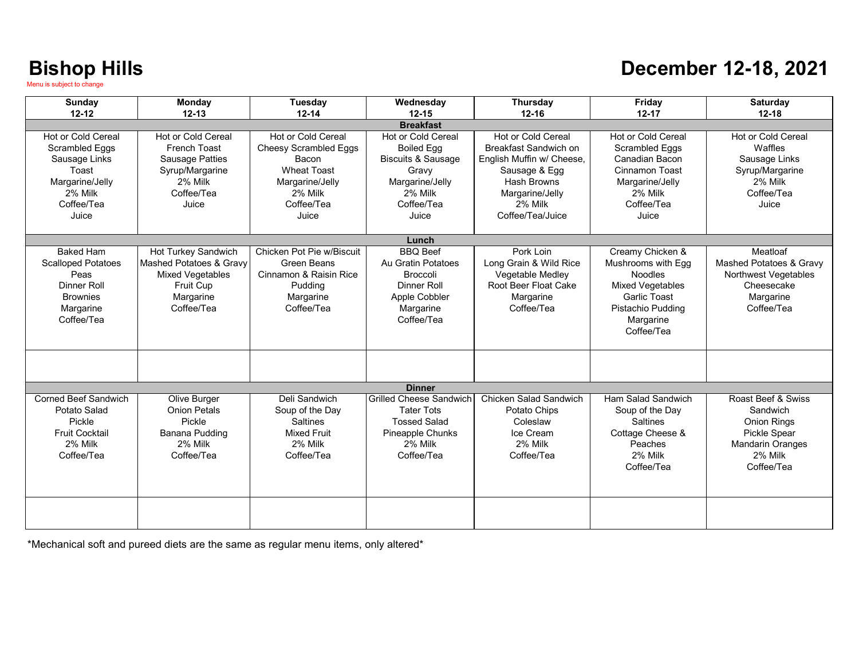#### **December 12-18, 2021**

| Sunday                                                                                                                     | Monday<br>$12 - 13$                                                                                                      | Tuesday                                                                                                                                | Wednesday                                                                                                                              | Thursday<br>$12 - 16$                                                                                                                                      | Friday<br>$12 - 17$                                                                                                                                        | <b>Saturday</b><br>$12 - 18$                                                                                             |
|----------------------------------------------------------------------------------------------------------------------------|--------------------------------------------------------------------------------------------------------------------------|----------------------------------------------------------------------------------------------------------------------------------------|----------------------------------------------------------------------------------------------------------------------------------------|------------------------------------------------------------------------------------------------------------------------------------------------------------|------------------------------------------------------------------------------------------------------------------------------------------------------------|--------------------------------------------------------------------------------------------------------------------------|
| $12 - 12$                                                                                                                  |                                                                                                                          | $12 - 14$                                                                                                                              | $12 - 15$<br><b>Breakfast</b>                                                                                                          |                                                                                                                                                            |                                                                                                                                                            |                                                                                                                          |
| Hot or Cold Cereal<br><b>Scrambled Eggs</b><br>Sausage Links<br>Toast<br>Margarine/Jelly<br>2% Milk<br>Coffee/Tea<br>Juice | <b>Hot or Cold Cereal</b><br><b>French Toast</b><br>Sausage Patties<br>Syrup/Margarine<br>2% Milk<br>Coffee/Tea<br>Juice | Hot or Cold Cereal<br><b>Cheesy Scrambled Eggs</b><br>Bacon<br><b>Wheat Toast</b><br>Margarine/Jelly<br>2% Milk<br>Coffee/Tea<br>Juice | Hot or Cold Cereal<br><b>Boiled Eag</b><br><b>Biscuits &amp; Sausage</b><br>Gravv<br>Margarine/Jelly<br>2% Milk<br>Coffee/Tea<br>Juice | Hot or Cold Cereal<br>Breakfast Sandwich on<br>English Muffin w/ Cheese.<br>Sausage & Egg<br>Hash Browns<br>Margarine/Jelly<br>2% Milk<br>Coffee/Tea/Juice | <b>Hot or Cold Cereal</b><br><b>Scrambled Eggs</b><br>Canadian Bacon<br>Cinnamon Toast<br>Margarine/Jelly<br>2% Milk<br>Coffee/Tea<br>Juice                | Hot or Cold Cereal<br>Waffles<br>Sausage Links<br>Syrup/Margarine<br>2% Milk<br>Coffee/Tea<br>Juice                      |
|                                                                                                                            |                                                                                                                          |                                                                                                                                        | Lunch                                                                                                                                  |                                                                                                                                                            |                                                                                                                                                            |                                                                                                                          |
| <b>Baked Ham</b><br><b>Scalloped Potatoes</b><br>Peas<br>Dinner Roll<br><b>Brownies</b><br>Margarine<br>Coffee/Tea         | Hot Turkey Sandwich<br>Mashed Potatoes & Gravy<br><b>Mixed Vegetables</b><br>Fruit Cup<br>Margarine<br>Coffee/Tea        | Chicken Pot Pie w/Biscuit<br>Green Beans<br>Cinnamon & Raisin Rice<br>Pudding<br>Margarine<br>Coffee/Tea                               | <b>BBO</b> Beef<br>Au Gratin Potatoes<br><b>Broccoli</b><br><b>Dinner Roll</b><br>Apple Cobbler<br>Margarine<br>Coffee/Tea             | Pork Loin<br>Long Grain & Wild Rice<br>Vegetable Medley<br>Root Beer Float Cake<br>Margarine<br>Coffee/Tea                                                 | Creamy Chicken &<br>Mushrooms with Egg<br><b>Noodles</b><br><b>Mixed Vegetables</b><br><b>Garlic Toast</b><br>Pistachio Pudding<br>Margarine<br>Coffee/Tea | Meatloaf<br>Mashed Potatoes & Gravy<br>Northwest Vegetables<br>Cheesecake<br>Margarine<br>Coffee/Tea                     |
|                                                                                                                            |                                                                                                                          |                                                                                                                                        |                                                                                                                                        |                                                                                                                                                            |                                                                                                                                                            |                                                                                                                          |
|                                                                                                                            |                                                                                                                          |                                                                                                                                        | <b>Dinner</b>                                                                                                                          |                                                                                                                                                            |                                                                                                                                                            |                                                                                                                          |
| Corned Beef Sandwich<br>Potato Salad<br>Pickle<br><b>Fruit Cocktail</b><br>2% Milk<br>Coffee/Tea                           | Olive Burger<br><b>Onion Petals</b><br>Pickle<br>Banana Pudding<br>2% Milk<br>Coffee/Tea                                 | Deli Sandwich<br>Soup of the Day<br><b>Saltines</b><br><b>Mixed Fruit</b><br>2% Milk<br>Coffee/Tea                                     | <b>Grilled Cheese Sandwich</b><br><b>Tater Tots</b><br><b>Tossed Salad</b><br>Pineapple Chunks<br>2% Milk<br>Coffee/Tea                | <b>Chicken Salad Sandwich</b><br>Potato Chips<br>Coleslaw<br>Ice Cream<br>2% Milk<br>Coffee/Tea                                                            | Ham Salad Sandwich<br>Soup of the Day<br><b>Saltines</b><br>Cottage Cheese &<br>Peaches<br>2% Milk<br>Coffee/Tea                                           | Roast Beef & Swiss<br>Sandwich<br><b>Onion Rings</b><br>Pickle Spear<br><b>Mandarin Oranges</b><br>2% Milk<br>Coffee/Tea |
|                                                                                                                            |                                                                                                                          |                                                                                                                                        |                                                                                                                                        |                                                                                                                                                            |                                                                                                                                                            |                                                                                                                          |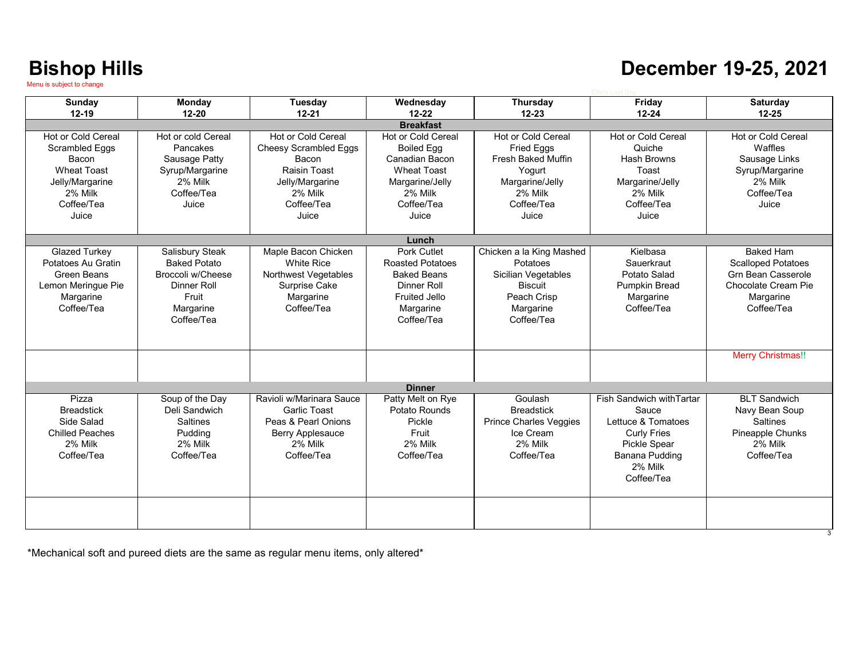### **December 19-25, 2021**

| Sunday                 | <b>Monday</b>       | Tuesday                      | Wednesday               | <b>Thursday</b>               | Friday                    | Saturday                   |
|------------------------|---------------------|------------------------------|-------------------------|-------------------------------|---------------------------|----------------------------|
| $12 - 19$              | $12 - 20$           | $12 - 21$                    | $12 - 22$               | $12 - 23$                     | $12 - 24$                 | $12 - 25$                  |
|                        |                     |                              | <b>Breakfast</b>        |                               |                           |                            |
| Hot or Cold Cereal     | Hot or cold Cereal  | Hot or Cold Cereal           | Hot or Cold Cereal      | Hot or Cold Cereal            | Hot or Cold Cereal        | Hot or Cold Cereal         |
| <b>Scrambled Eggs</b>  | Pancakes            | <b>Cheesy Scrambled Eggs</b> | <b>Boiled Egg</b>       | <b>Fried Eggs</b>             | Quiche                    | Waffles                    |
| Bacon                  | Sausage Patty       | Bacon                        | Canadian Bacon          | <b>Fresh Baked Muffin</b>     | Hash Browns               | Sausage Links              |
| <b>Wheat Toast</b>     | Syrup/Margarine     | Raisin Toast                 | <b>Wheat Toast</b>      | Yogurt                        | Toast                     | Syrup/Margarine            |
| Jelly/Margarine        | 2% Milk             | Jelly/Margarine              | Margarine/Jelly         | Margarine/Jelly               | Margarine/Jelly           | 2% Milk                    |
| 2% Milk                | Coffee/Tea          | 2% Milk                      | 2% Milk                 | 2% Milk                       | 2% Milk                   | Coffee/Tea                 |
| Coffee/Tea             | Juice               | Coffee/Tea                   | Coffee/Tea              | Coffee/Tea                    | Coffee/Tea                | Juice                      |
| Juice                  |                     | Juice                        | Juice                   | Juice                         | Juice                     |                            |
|                        |                     |                              |                         |                               |                           |                            |
|                        |                     |                              | Lunch                   |                               |                           |                            |
| Glazed Turkey          | Salisbury Steak     | Maple Bacon Chicken          | Pork Cutlet             | Chicken a la King Mashed      | Kielbasa                  | <b>Baked Ham</b>           |
| Potatoes Au Gratin     | <b>Baked Potato</b> | <b>White Rice</b>            | <b>Roasted Potatoes</b> | Potatoes                      | Sauerkraut                | <b>Scalloped Potatoes</b>  |
| Green Beans            | Broccoli w/Cheese   | Northwest Vegetables         | <b>Baked Beans</b>      | Sicilian Vegetables           | Potato Salad              | <b>Grn Bean Casserole</b>  |
| Lemon Meringue Pie     | Dinner Roll         | Surprise Cake                | Dinner Roll             | Biscuit                       | <b>Pumpkin Bread</b>      | <b>Chocolate Cream Pie</b> |
| Margarine              | Fruit               | Margarine                    | <b>Fruited Jello</b>    | Peach Crisp                   | Margarine                 | Margarine                  |
| Coffee/Tea             | Margarine           | Coffee/Tea                   | Margarine               | Margarine                     | Coffee/Tea                | Coffee/Tea                 |
|                        | Coffee/Tea          |                              | Coffee/Tea              | Coffee/Tea                    |                           |                            |
|                        |                     |                              |                         |                               |                           |                            |
|                        |                     |                              |                         |                               |                           |                            |
|                        |                     |                              |                         |                               |                           | <b>Merry Christmas!!</b>   |
|                        |                     |                              |                         |                               |                           |                            |
|                        |                     |                              |                         |                               |                           |                            |
|                        |                     |                              | <b>Dinner</b>           |                               |                           |                            |
| Pizza                  | Soup of the Day     | Ravioli w/Marinara Sauce     | Patty Melt on Rye       | Goulash                       | Fish Sandwich with Tartar | <b>BLT Sandwich</b>        |
| <b>Breadstick</b>      | Deli Sandwich       | <b>Garlic Toast</b>          | Potato Rounds           | <b>Breadstick</b>             | Sauce                     | Navy Bean Soup             |
| Side Salad             | Saltines            | Peas & Pearl Onions          | Pickle                  | <b>Prince Charles Veggies</b> | Lettuce & Tomatoes        | <b>Saltines</b>            |
| <b>Chilled Peaches</b> | Pudding             | Berry Applesauce             | Fruit                   | Ice Cream                     | <b>Curly Fries</b>        | Pineapple Chunks           |
| 2% Milk                | 2% Milk             | 2% Milk                      | 2% Milk                 | 2% Milk                       | Pickle Spear              | 2% Milk                    |
| Coffee/Tea             | Coffee/Tea          | Coffee/Tea                   | Coffee/Tea              | Coffee/Tea                    | Banana Pudding            | Coffee/Tea                 |
|                        |                     |                              |                         |                               | 2% Milk                   |                            |
|                        |                     |                              |                         |                               | Coffee/Tea                |                            |
|                        |                     |                              |                         |                               |                           |                            |
|                        |                     |                              |                         |                               |                           |                            |
|                        |                     |                              |                         |                               |                           |                            |
|                        |                     |                              |                         |                               |                           |                            |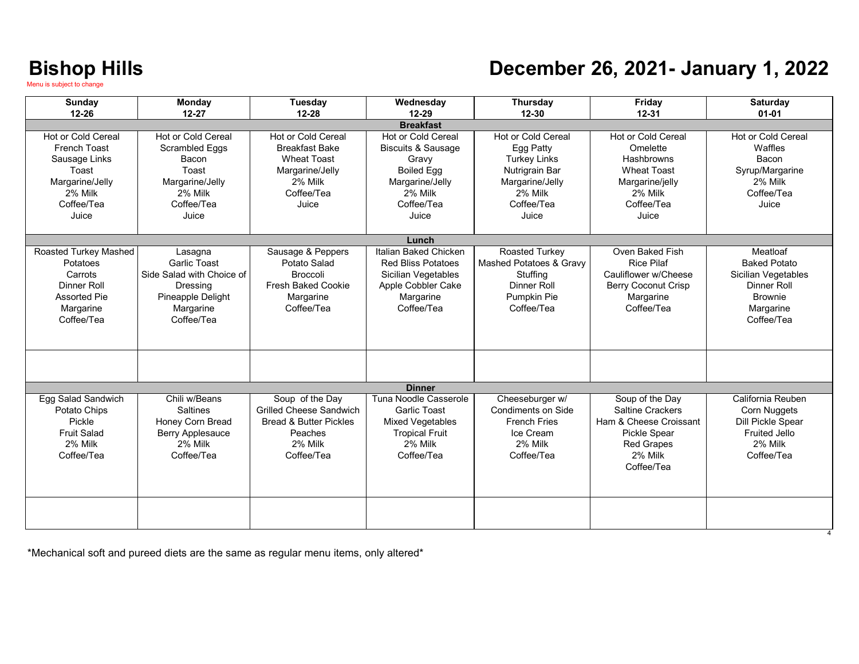### **December 26, 2021- January 1, 2022**

| <b>Sunday</b><br>$12 - 26$                                                                                               | Monday<br>$12 - 27$                                                                                                       | <b>Tuesday</b><br>$12 - 28$                                                                                                   | Wednesday<br>$12 - 29$                                                                                                                        | <b>Thursday</b><br>$12 - 30$                                                                                                         | Friday<br>$12 - 31$                                                                                                                | Saturday<br>$01 - 01$                                                                                                     |  |
|--------------------------------------------------------------------------------------------------------------------------|---------------------------------------------------------------------------------------------------------------------------|-------------------------------------------------------------------------------------------------------------------------------|-----------------------------------------------------------------------------------------------------------------------------------------------|--------------------------------------------------------------------------------------------------------------------------------------|------------------------------------------------------------------------------------------------------------------------------------|---------------------------------------------------------------------------------------------------------------------------|--|
| <b>Breakfast</b>                                                                                                         |                                                                                                                           |                                                                                                                               |                                                                                                                                               |                                                                                                                                      |                                                                                                                                    |                                                                                                                           |  |
| <b>Hot or Cold Cereal</b><br>French Toast<br>Sausage Links<br>Toast<br>Margarine/Jelly<br>2% Milk<br>Coffee/Tea<br>Juice | <b>Hot or Cold Cereal</b><br><b>Scrambled Eggs</b><br>Bacon<br>Toast<br>Margarine/Jelly<br>2% Milk<br>Coffee/Tea<br>Juice | <b>Hot or Cold Cereal</b><br><b>Breakfast Bake</b><br><b>Wheat Toast</b><br>Margarine/Jelly<br>2% Milk<br>Coffee/Tea<br>Juice | <b>Hot or Cold Cereal</b><br><b>Biscuits &amp; Sausage</b><br>Gravy<br><b>Boiled Egg</b><br>Margarine/Jelly<br>2% Milk<br>Coffee/Tea<br>Juice | <b>Hot or Cold Cereal</b><br>Egg Patty<br><b>Turkey Links</b><br>Nutrigrain Bar<br>Margarine/Jelly<br>2% Milk<br>Coffee/Tea<br>Juice | <b>Hot or Cold Cereal</b><br>Omelette<br>Hashbrowns<br><b>Wheat Toast</b><br>Margarine/jelly<br>2% Milk<br>Coffee/Tea<br>Juice     | <b>Hot or Cold Cereal</b><br>Waffles<br>Bacon<br>Syrup/Margarine<br>2% Milk<br>Coffee/Tea<br>Juice                        |  |
|                                                                                                                          |                                                                                                                           |                                                                                                                               | Lunch                                                                                                                                         |                                                                                                                                      |                                                                                                                                    |                                                                                                                           |  |
| Roasted Turkey Mashed<br>Potatoes<br>Carrots<br>Dinner Roll<br><b>Assorted Pie</b><br>Margarine<br>Coffee/Tea            | Lasagna<br><b>Garlic Toast</b><br>Side Salad with Choice of<br>Dressing<br>Pineapple Delight<br>Margarine<br>Coffee/Tea   | Sausage & Peppers<br>Potato Salad<br><b>Broccoli</b><br><b>Fresh Baked Cookie</b><br>Margarine<br>Coffee/Tea                  | Italian Baked Chicken<br><b>Red Bliss Potatoes</b><br>Sicilian Vegetables<br>Apple Cobbler Cake<br>Margarine<br>Coffee/Tea                    | Roasted Turkey<br>Mashed Potatoes & Gravy<br>Stuffing<br>Dinner Roll<br>Pumpkin Pie<br>Coffee/Tea                                    | Oven Baked Fish<br><b>Rice Pilaf</b><br>Cauliflower w/Cheese<br><b>Berry Coconut Crisp</b><br>Margarine<br>Coffee/Tea              | Meatloaf<br><b>Baked Potato</b><br>Sicilian Vegetables<br><b>Dinner Roll</b><br><b>Brownie</b><br>Margarine<br>Coffee/Tea |  |
|                                                                                                                          |                                                                                                                           |                                                                                                                               |                                                                                                                                               |                                                                                                                                      |                                                                                                                                    |                                                                                                                           |  |
|                                                                                                                          |                                                                                                                           |                                                                                                                               | <b>Dinner</b>                                                                                                                                 |                                                                                                                                      |                                                                                                                                    |                                                                                                                           |  |
| Egg Salad Sandwich<br>Potato Chips<br>Pickle<br><b>Fruit Salad</b><br>2% Milk<br>Coffee/Tea                              | Chili w/Beans<br><b>Saltines</b><br>Honey Corn Bread<br>Berry Applesauce<br>2% Milk<br>Coffee/Tea                         | Soup of the Day<br><b>Grilled Cheese Sandwich</b><br><b>Bread &amp; Butter Pickles</b><br>Peaches<br>2% Milk<br>Coffee/Tea    | Tuna Noodle Casserole<br><b>Garlic Toast</b><br><b>Mixed Vegetables</b><br><b>Tropical Fruit</b><br>2% Milk<br>Coffee/Tea                     | Cheeseburger w/<br><b>Condiments on Side</b><br><b>French Fries</b><br>Ice Cream<br>2% Milk<br>Coffee/Tea                            | Soup of the Day<br>Saltine Crackers<br>Ham & Cheese Croissant<br><b>Pickle Spear</b><br><b>Red Grapes</b><br>2% Milk<br>Coffee/Tea | California Reuben<br>Corn Nuggets<br>Dill Pickle Spear<br><b>Fruited Jello</b><br>2% Milk<br>Coffee/Tea                   |  |
|                                                                                                                          |                                                                                                                           |                                                                                                                               |                                                                                                                                               |                                                                                                                                      |                                                                                                                                    |                                                                                                                           |  |